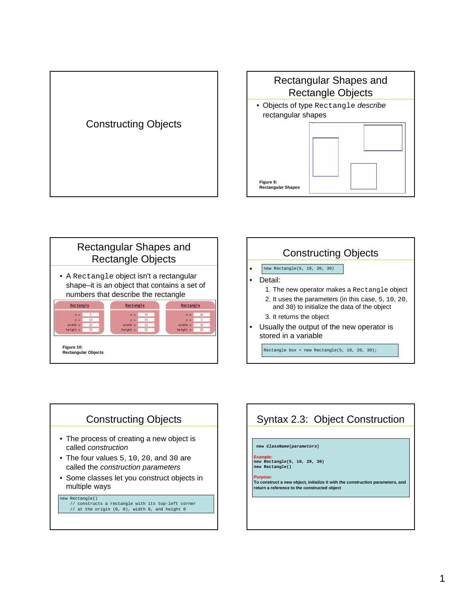











## **new ClassName(parameters)**

**Example: new Rectangle(5, 10, 20, 30) new Rectangle()**

**Purpose:**

**To construct a new object, initialize it with the construction parameters, and return a reference to the constructed object**